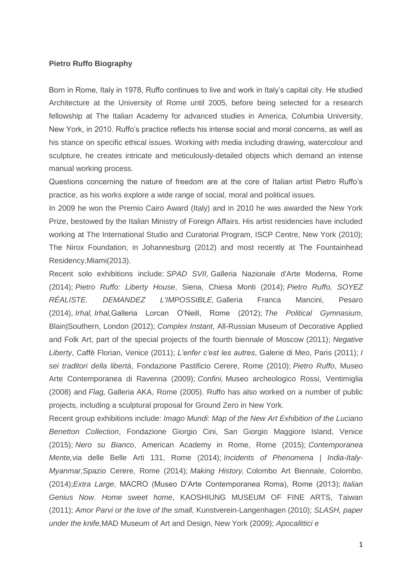#### **Pietro Ruffo Biography**

Born in Rome, Italy in 1978, Ruffo continues to live and work in Italy's capital city. He studied Architecture at the University of Rome until 2005, before being selected for a research fellowship at The Italian Academy for advanced studies in America, Columbia University, New York, in 2010. Ruffo's practice reflects his intense social and moral concerns, as well as his stance on specific ethical issues. Working with media including drawing, watercolour and sculpture, he creates intricate and meticulously-detailed objects which demand an intense manual working process.

Questions concerning the nature of freedom are at the core of Italian artist Pietro Ruffo's practice, as his works explore a wide range of social, moral and political issues.

In 2009 he won the Premio Cairo Award (Italy) and in 2010 he was awarded the New York Prize, bestowed by the Italian Ministry of Foreign Affairs. His artist residencies have included working at The International Studio and Curatorial Program, ISCP Centre, New York (2010); The Nirox Foundation, in Johannesburg (2012) and most recently at The Fountainhead Residency,Miami(2013).

Recent solo exhibitions include: *SPAD SVII,* Galleria Nazionale d'Arte Moderna, Rome (2014); *Pietro Ruffo: Liberty House*, Siena, Chiesa Monti (2014); *Pietro Ruffo, SOYEZ RÉALISTE. DEMANDEZ L'IMPOSSIBLE,* Galleria Franca Mancini, Pesaro (2014), *Irhal, Irhal,*Galleria Lorcan O'Neill, Rome (2012); *The Political Gymnasium*, Blain|Southern, London (2012); *Complex Instant*, All-Russian Museum of Decorative Applied and Folk Art, part of the special projects of the fourth biennale of Moscow (2011); *Negative Liberty*, Caffè Florian, Venice (2011); *L'enfer c'est les autres*, Galerie di Meo, Paris (2011); *I sei traditori della libertà*, Fondazione Pastificio Cerere, Rome (2010); *Pietro Ruffo*, Museo Arte Contemporanea di Ravenna (2009); *Confini,* Museo archeologico Rossi, Ventimiglia (2008) and *Flag,* Galleria AKA, Rome (2005). Ruffo has also worked on a number of public projects, including a sculptural proposal for Ground Zero in New York.

Recent group exhibitions include: *Imago Mundi: Map of the New Art Exhibition of the Luciano Benetton Collection*, Fondazione Giorgio Cini, San Giorgio Maggiore Island, Venice (2015); *Nero su Bianco*, American Academy in Rome, Rome (2015); *Contemporanea Mente,*via delle Belle Arti 131, Rome (2014); *Incidents of Phenomena | India-Italy-Myanmar,*Spazio Cerere, Rome (2014); *Making History,* Colombo Art Biennale, Colombo, (2014);*Extra Large*, MACRO (Museo D'Arte Contemporanea Roma), Rome (2013); *Italian Genius Now. Home sweet home*, KAOSHIUNG MUSEUM OF FINE ARTS, Taiwan (2011); *Amor Parvi or the love of the small*, Kunstverein-Langenhagen (2010); *SLASH, paper under the knife,*MAD Museum of Art and Design, New York (2009); *Apocalittici e*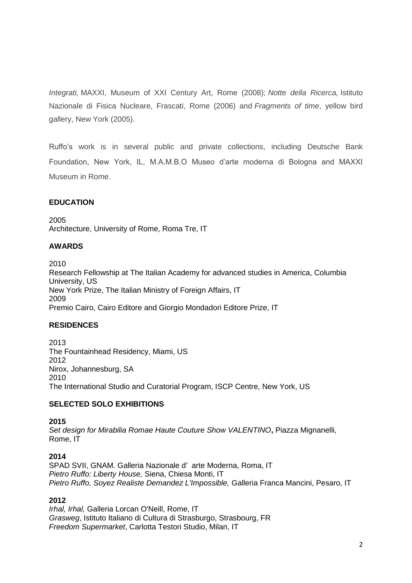*Integrati,* MAXXI, Museum of XXI Century Art, Rome (2008); *Notte della Ricerca,* Istituto Nazionale di Fisica Nucleare, Frascati, Rome (2006) and *Fragments of time*, yellow bird gallery, New York (2005).

Ruffo's work is in several public and private collections, including Deutsche Bank Foundation, New York, IL, M.A.M.B.O Museo d'arte moderna di Bologna and MAXXI Museum in Rome.

## **EDUCATION**

2005 Architecture, University of Rome, Roma Tre, IT

## **AWARDS**

2010

Research Fellowship at The Italian Academy for advanced studies in America, Columbia University, US New York Prize, The Italian Ministry of Foreign Affairs, IT 2009 Premio Cairo, Cairo Editore and Giorgio Mondadori Editore Prize, IT

## **RESIDENCES**

2013 The Fountainhead Residency, Miami, US 2012 Nirox, Johannesburg, SA 2010 The International Studio and Curatorial Program, ISCP Centre, New York, US

## **SELECTED SOLO EXHIBITIONS**

#### **2015**

*Set design for Mirabilia Romae Haute Couture Show VALENTINO***,** Piazza Mignanelli, Rome, IT

## **2014**

SPAD SVII, GNAM. Galleria Nazionale d' arte Moderna, Roma, IT *Pietro Ruffo: Liberty House,* Siena, Chiesa Monti, IT *Pietro Ruffo, Soyez Realiste Demandez L'Impossible,* Galleria Franca Mancini, Pesaro, IT

## **2012**

*Irhal, Irhal,* Galleria Lorcan O'Neill, Rome, IT *Grasweg*, Istituto Italiano di Cultura di Strasburgo, Strasbourg, FR *Freedom Supermarket*, Carlotta Testori Studio, Milan, IT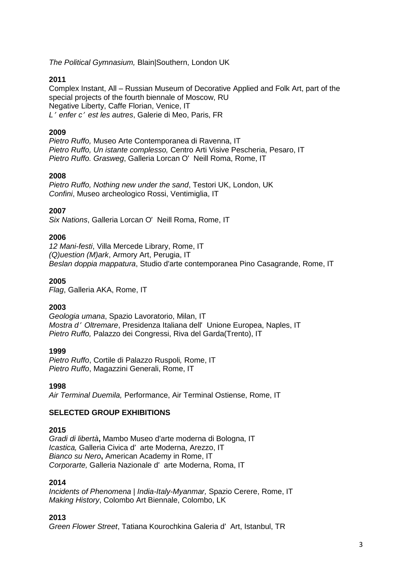*The Political Gymnasium,* Blain|Southern, London UK

## **2011**

Complex Instant, All – Russian Museum of Decorative Applied and Folk Art, part of the special projects of the fourth biennale of Moscow, RU Negative Liberty, Caffe Florian, Venice, IT *L*<sup>&#</sup>x27; *enfer c*<sup>&#</sup>x27; <i>est les autres</i>, Galerie di Meo, Paris, FR</sup>

## **2009**

*Pietro Ruffo,* Museo Arte Contemporanea di Ravenna, IT *Pietro Ruffo, Un istante complesso,* Centro Arti Visive Pescheria, Pesaro, IT *Pietro Ruffo. Grasweg*, Galleria Lorcan O' Neill Roma, Rome, IT

## **2008**

*Pietro Ruffo, Nothing new under the sand*, Testori UK, London, UK *Confini*, Museo archeologico Rossi, Ventimiglia, IT

# **2007**

*Six Nations*, Galleria Lorcan O' Neill Roma, Rome, IT

## **2006**

*12 Mani-festi*, Villa Mercede Library, Rome, IT *(Q)uestion (M)ark*, Armory Art, Perugia, IT *Beslan doppia mappatura*, Studio d'arte contemporanea Pino Casagrande, Rome, IT

## **2005**

*Flag*, Galleria AKA, Rome, IT

## **2003**

*Geologia umana*, Spazio Lavoratorio, Milan, IT *Mostra d*<sup>&#</sup>x27; *Oltremare*, Presidenza Italiana dell' Unione Europea, Naples, IT *Pietro Ruffo,* Palazzo dei Congressi, Riva del Garda(Trento), IT

## **1999**

*Pietro Ruffo*, Cortile di Palazzo Ruspoli*,* Rome, IT *Pietro Ruffo*, Magazzini Generali, Rome, IT

**1998**

*Air Terminal Duemila,* Performance, Air Terminal Ostiense, Rome, IT

# **SELECTED GROUP EXHIBITIONS**

## **2015**

*Gradi di libertà***,** Mambo Museo d'arte moderna di Bologna, IT *Icastica,* Galleria Civica d' arte Moderna, Arezzo, IT *Bianco su Nero***,** American Academy in Rome, IT *Corporarte,* Galleria Nazionale d' arte Moderna, Roma, IT

## **2014**

*Incidents of Phenomena | India-Italy-Myanmar,* Spazio Cerere, Rome, IT *Making History*, Colombo Art Biennale, Colombo, LK

**2013**

*Green Flower Street*, Tatiana Kourochkina Galeria d' Art, Istanbul, TR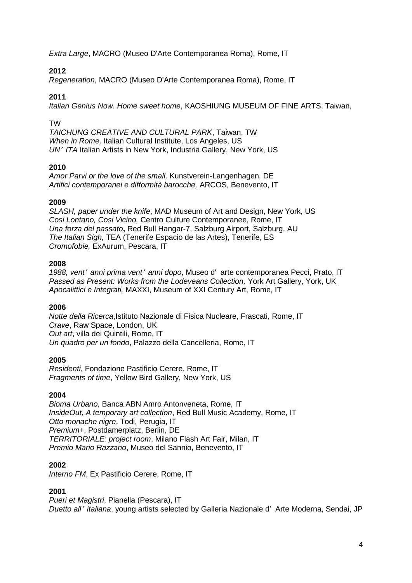*Extra Large*, MACRO (Museo D'Arte Contemporanea Roma), Rome, IT

# **2012**

*Regeneration*, MACRO (Museo D'Arte Contemporanea Roma), Rome, IT

## **2011**

*Italian Genius Now. Home sweet home*, KAOSHIUNG MUSEUM OF FINE ARTS, Taiwan,

## TW

*TAICHUNG CREATIVE AND CULTURAL PARK*, Taiwan, TW *When in Rome,* Italian Cultural Institute, Los Angeles, US *UN*<sup>&#</sup>x27; *ITA* Italian Artists in New York, Industria Gallery, New York, US

## **2010**

*Amor Parvi or the love of the small,* Kunstverein-Langenhagen, DE *Artifici contemporanei e difformità barocche,* ARCOS, Benevento, IT

## **2009**

*SLASH, paper under the knife*, MAD Museum of Art and Design, New York, US *Cosi Lontano, Cosi Vicino,* Centro Culture Contemporanee, Rome, IT *Una forza del passato***,** Red Bull Hangar-7, Salzburg Airport, Salzburg, AU *The Italian Sigh,* TEA (Tenerife Espacio de las Artes), Tenerife, ES *Cromofobie,* ExAurum, Pescara, IT

### **2008**

*1988, vent*<sup>&#</sup>x27; *anni prima vent*<sup>&#</sup>x27; <i>anni dopo</i>, Museo d&#x27; arte contemporanea Pecci, Prato, IT</sup> *Passed as Present: Works from the Lodeveans Collection,* York Art Gallery, York, UK *Apocalittici e Integrati,* MAXXI, Museum of XXI Century Art, Rome, IT

## **2006**

*Notte della Ricerca*,Istituto Nazionale di Fisica Nucleare, Frascati, Rome, IT *Crave*, Raw Space, London, UK *Out art*, villa dei Quintili, Rome, IT *Un quadro per un fondo*, Palazzo della Cancelleria, Rome, IT

## **2005**

*Residenti*, Fondazione Pastificio Cerere, Rome, IT *Fragments of time*, Yellow Bird Gallery, New York, US

#### **2004**

*Bioma Urbano*, Banca ABN Amro Antonveneta, Rome, IT *InsideOut, A temporary art collection*, Red Bull Music Academy, Rome, IT *Otto monache nigre*, Todi, Perugia, IT *Premium+*, Postdamerplatz, Berlin, DE *TERRITORIALE: project room*, Milano Flash Art Fair, Milan, IT *Premio Mario Razzano*, Museo del Sannio, Benevento, IT

#### **2002**

*Interno FM*, Ex Pastificio Cerere, Rome, IT

## **2001**

*Pueri et Magistri*, Pianella (Pescara), IT *Duetto all*<sup>&#</sup>x27; *italiana*, young artists selected by Galleria Nazionale d' Arte Moderna, Sendai, JP